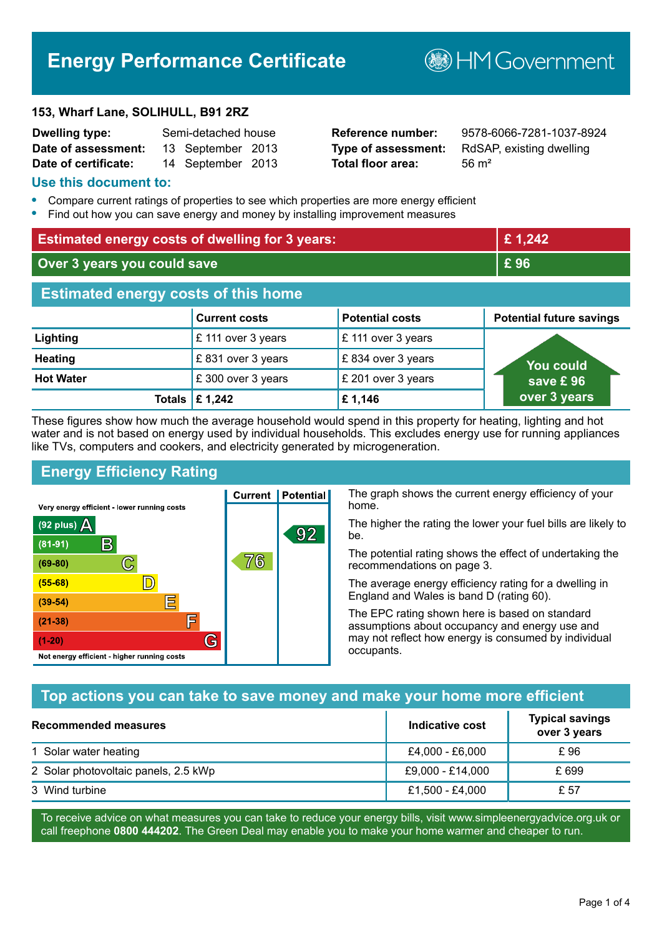# **Energy Performance Certificate**

#### **153, Wharf Lane, SOLIHULL, B91 2RZ**

| <b>Dwelling type:</b> | Semi-detached house |                   |  |
|-----------------------|---------------------|-------------------|--|
| Date of assessment:   |                     | 13 September 2013 |  |
| Date of certificate:  |                     | 14 September 2013 |  |

# **Total floor area:** 56 m<sup>2</sup>

**Reference number:** 9578-6066-7281-1037-8924 **Type of assessment:** RdSAP, existing dwelling

**B**HM Government

#### **Use this document to:**

- **•** Compare current ratings of properties to see which properties are more energy efficient
- **•** Find out how you can save energy and money by installing improvement measures

| <b>Estimated energy costs of dwelling for 3 years:</b> |                                 | £1,242                 |                                 |
|--------------------------------------------------------|---------------------------------|------------------------|---------------------------------|
| Over 3 years you could save                            |                                 | £96                    |                                 |
| <b>Estimated energy costs of this home</b>             |                                 |                        |                                 |
|                                                        | <b>Current costs</b>            | <b>Potential costs</b> | <b>Potential future savings</b> |
| Lighting                                               | £ 111 over 3 years              | £ 111 over 3 years     |                                 |
| <b>Heating</b>                                         | £831 over 3 years               | £834 over 3 years      | You could                       |
| <b>Hot Water</b>                                       | £ 300 over 3 years              | £ 201 over 3 years     | save £96                        |
|                                                        | Totals $\mathbf \epsilon$ 1,242 | £1,146                 | over 3 years                    |

These figures show how much the average household would spend in this property for heating, lighting and hot water and is not based on energy used by individual households. This excludes energy use for running appliances like TVs, computers and cookers, and electricity generated by microgeneration.

**Current | Potential** 

76

92

# **Energy Efficiency Rating**

 $\mathbb{C}$ 

 $\mathbb{D}$ 

E

庐

G

Very energy efficient - lower running costs

R

Not energy efficient - higher running costs

 $(92$  plus)

 $(81 - 91)$ 

 $(69 - 80)$ 

 $(55-68)$ 

 $(39 - 54)$ 

 $(21-38)$ 

 $(1-20)$ 

- 78

The graph shows the current energy efficiency of your home.

The higher the rating the lower your fuel bills are likely to be.

The potential rating shows the effect of undertaking the recommendations on page 3.

The average energy efficiency rating for a dwelling in England and Wales is band D (rating 60).

The EPC rating shown here is based on standard assumptions about occupancy and energy use and may not reflect how energy is consumed by individual occupants.

## **Top actions you can take to save money and make your home more efficient**

| Recommended measures                 | Indicative cost  | <b>Typical savings</b><br>over 3 years |
|--------------------------------------|------------------|----------------------------------------|
| 1 Solar water heating                | £4,000 - £6,000  | £96                                    |
| 2 Solar photovoltaic panels, 2.5 kWp | £9,000 - £14,000 | £ 699                                  |
| 3 Wind turbine                       | £1,500 - £4,000  | £ 57                                   |

To receive advice on what measures you can take to reduce your energy bills, visit www.simpleenergyadvice.org.uk or call freephone **0800 444202**. The Green Deal may enable you to make your home warmer and cheaper to run.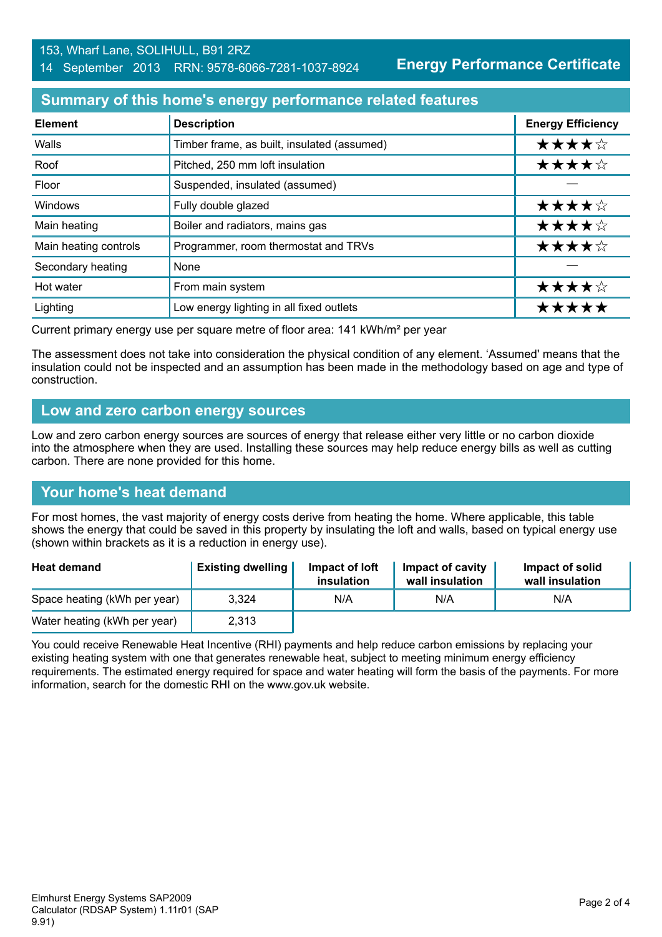**Energy Performance Certificate**

#### **Summary of this home's energy performance related features**

| <b>Element</b>        | <b>Description</b>                          | <b>Energy Efficiency</b> |
|-----------------------|---------------------------------------------|--------------------------|
| Walls                 | Timber frame, as built, insulated (assumed) | ★★★★☆                    |
| Roof                  | Pitched, 250 mm loft insulation             | ★★★★☆                    |
| Floor                 | Suspended, insulated (assumed)              |                          |
| Windows               | Fully double glazed                         | ★★★★☆                    |
| Main heating          | Boiler and radiators, mains gas             | ★★★★☆                    |
| Main heating controls | Programmer, room thermostat and TRVs        | ★★★★☆                    |
| Secondary heating     | None                                        |                          |
| Hot water             | From main system                            | ★★★★☆                    |
| Lighting              | Low energy lighting in all fixed outlets    | *****                    |

Current primary energy use per square metre of floor area: 141 kWh/m² per year

The assessment does not take into consideration the physical condition of any element. 'Assumed' means that the insulation could not be inspected and an assumption has been made in the methodology based on age and type of construction.

#### **Low and zero carbon energy sources**

Low and zero carbon energy sources are sources of energy that release either very little or no carbon dioxide into the atmosphere when they are used. Installing these sources may help reduce energy bills as well as cutting carbon. There are none provided for this home.

## **Your home's heat demand**

For most homes, the vast majority of energy costs derive from heating the home. Where applicable, this table shows the energy that could be saved in this property by insulating the loft and walls, based on typical energy use (shown within brackets as it is a reduction in energy use).

| <b>Heat demand</b>           | <b>Existing dwelling</b> | Impact of loft<br>insulation | Impact of cavity<br>wall insulation | Impact of solid<br>wall insulation |
|------------------------------|--------------------------|------------------------------|-------------------------------------|------------------------------------|
| Space heating (kWh per year) | 3.324                    | N/A                          | N/A                                 | N/A                                |
| Water heating (kWh per year) | 2,313                    |                              |                                     |                                    |

You could receive Renewable Heat Incentive (RHI) payments and help reduce carbon emissions by replacing your existing heating system with one that generates renewable heat, subject to meeting minimum energy efficiency requirements. The estimated energy required for space and water heating will form the basis of the payments. For more information, search for the domestic RHI on the www.gov.uk website.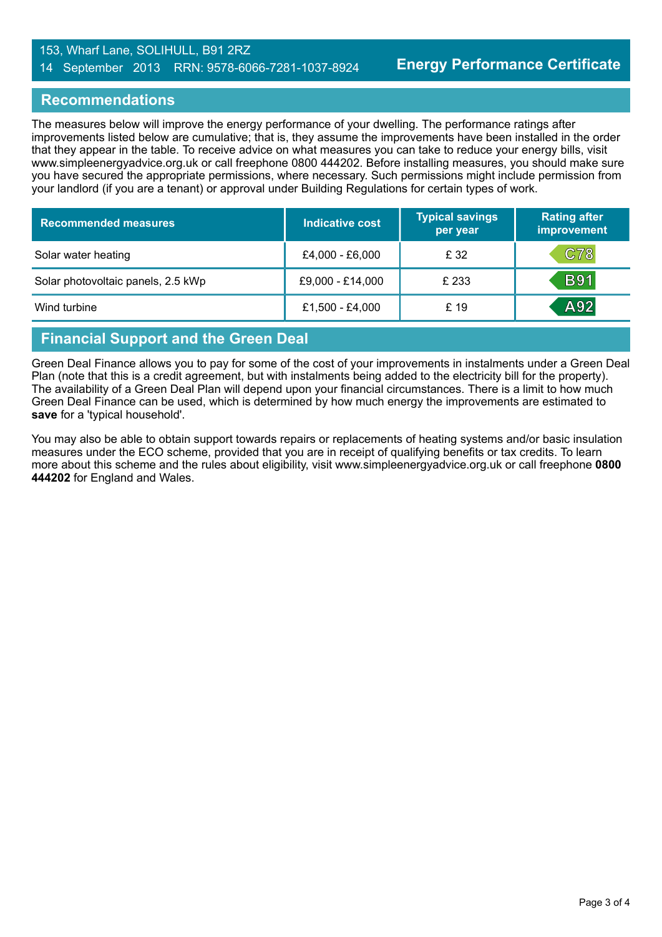#### 153, Wharf Lane, SOLIHULL, B91 2RZ 14 September 2013 RRN: 9578-6066-7281-1037-8924

#### **Recommendations**

The measures below will improve the energy performance of your dwelling. The performance ratings after improvements listed below are cumulative; that is, they assume the improvements have been installed in the order that they appear in the table. To receive advice on what measures you can take to reduce your energy bills, visit www.simpleenergyadvice.org.uk or call freephone 0800 444202. Before installing measures, you should make sure you have secured the appropriate permissions, where necessary. Such permissions might include permission from your landlord (if you are a tenant) or approval under Building Regulations for certain types of work.

| <b>Recommended measures</b>        | Indicative cost  | <b>Typical savings</b><br>per year | <b>Rating after</b><br>improvement |
|------------------------------------|------------------|------------------------------------|------------------------------------|
| Solar water heating                | £4,000 - £6,000  | £ 32                               | C78                                |
| Solar photovoltaic panels, 2.5 kWp | £9,000 - £14,000 | £ 233                              | <b>B91</b>                         |
| Wind turbine                       | £1,500 - £4,000  | £ 19                               | A92                                |

# **Financial Support and the Green Deal**

Green Deal Finance allows you to pay for some of the cost of your improvements in instalments under a Green Deal Plan (note that this is a credit agreement, but with instalments being added to the electricity bill for the property). The availability of a Green Deal Plan will depend upon your financial circumstances. There is a limit to how much Green Deal Finance can be used, which is determined by how much energy the improvements are estimated to **save** for a 'typical household'.

You may also be able to obtain support towards repairs or replacements of heating systems and/or basic insulation measures under the ECO scheme, provided that you are in receipt of qualifying benefits or tax credits. To learn more about this scheme and the rules about eligibility, visit www.simpleenergyadvice.org.uk or call freephone **0800 444202** for England and Wales.